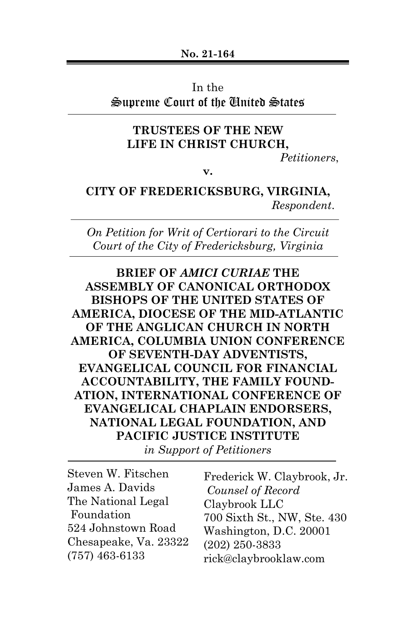## In the

## Supreme Court of the United States

# **TRUSTEES OF THE NEW LIFE IN CHRIST CHURCH,**

*Petitioners*,

**v.**

## **CITY OF FREDERICKSBURG, VIRGINIA,** *Respondent*.

*On Petition for Writ of Certiorari to the Circuit Court of the City of Fredericksburg, Virginia*

**BRIEF OF** *AMICI CURIAE* **THE ASSEMBLY OF CANONICAL ORTHODOX BISHOPS OF THE UNITED STATES OF AMERICA, DIOCESE OF THE MID-ATLANTIC OF THE ANGLICAN CHURCH IN NORTH AMERICA, COLUMBIA UNION CONFERENCE OF SEVENTH-DAY ADVENTISTS, EVANGELICAL COUNCIL FOR FINANCIAL ACCOUNTABILITY, THE FAMILY FOUND-ATION, INTERNATIONAL CONFERENCE OF EVANGELICAL CHAPLAIN ENDORSERS, NATIONAL LEGAL FOUNDATION, AND PACIFIC JUSTICE INSTITUTE**

*in Support of Petitioners*

| Steven W. Fitschen    | Frederick W. Claybrook, Jr. |
|-----------------------|-----------------------------|
| James A. Davids       | Counsel of Record           |
| The National Legal    | Claybrook LLC               |
| Foundation            | 700 Sixth St., NW, Ste. 430 |
| 524 Johnstown Road    | Washington, D.C. 20001      |
| Chesapeake, Va. 23322 | $(202)$ 250-3833            |
| $(757)$ 463-6133      | rick@claybrooklaw.com       |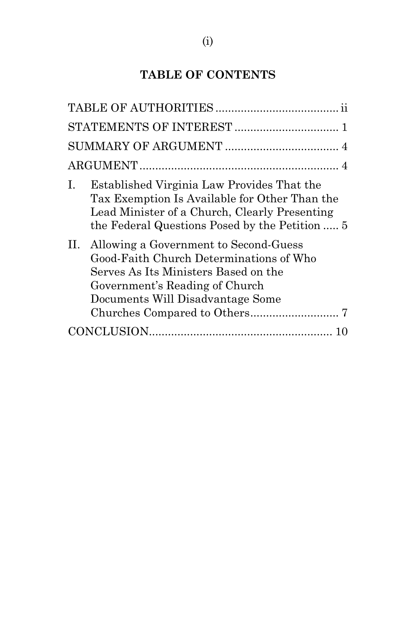# **TABLE OF CONTENTS**

| Ι. | Established Virginia Law Provides That the<br>Tax Exemption Is Available for Other Than the<br>Lead Minister of a Church, Clearly Presenting<br>the Federal Questions Posed by the Petition  5 |
|----|------------------------------------------------------------------------------------------------------------------------------------------------------------------------------------------------|
| П. | Allowing a Government to Second-Guess<br>Good-Faith Church Determinations of Who<br>Serves As Its Ministers Based on the<br>Government's Reading of Church<br>Documents Will Disadvantage Some |
|    |                                                                                                                                                                                                |
|    |                                                                                                                                                                                                |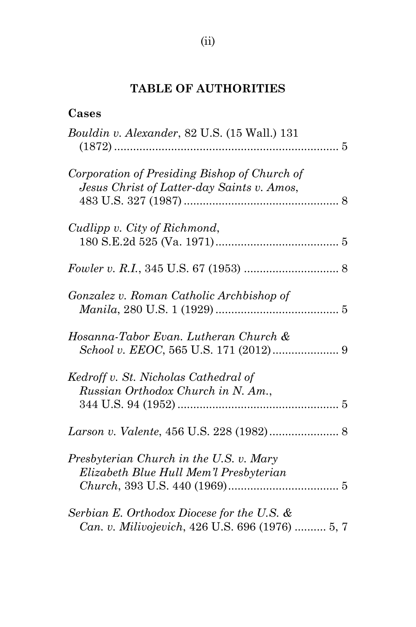# **TABLE OF AUTHORITIES**

| Cases                                                                                         |
|-----------------------------------------------------------------------------------------------|
| Bouldin v. Alexander, 82 U.S. (15 Wall.) 131                                                  |
| Corporation of Presiding Bishop of Church of<br>Jesus Christ of Latter-day Saints v. Amos,    |
| Cudlipp v. City of Richmond,                                                                  |
|                                                                                               |
| Gonzalez v. Roman Catholic Archbishop of                                                      |
| Hosanna-Tabor Evan. Lutheran Church &                                                         |
| Kedroff v. St. Nicholas Cathedral of<br>Russian Orthodox Church in N. Am.,                    |
| Larson v. Valente, 456 U.S. 228 (1982) 8                                                      |
| Presbyterian Church in the U.S. v. Mary<br>Elizabeth Blue Hull Mem'l Presbyterian             |
| Serbian E. Orthodox Diocese for the U.S. &<br>Can. v. Milivojevich, 426 U.S. 696 (1976)  5, 7 |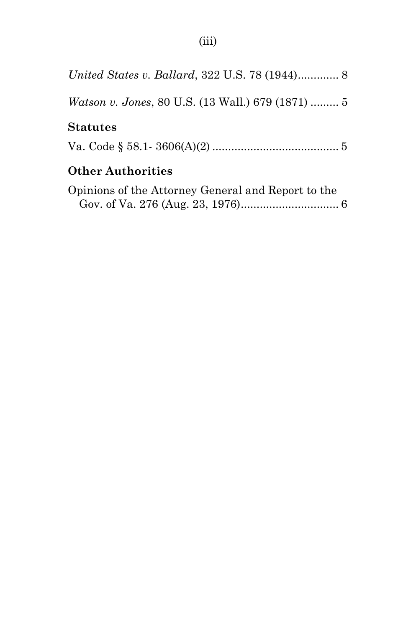| United States v. Ballard, 322 U.S. 78 (1944) 8           |
|----------------------------------------------------------|
| <i>Watson v. Jones, 80 U.S. (13 Wall.) 679 (1871) </i> 5 |
| <b>Statutes</b>                                          |
|                                                          |
| <b>Other Authorities</b>                                 |
| Opinions of the Attorney General and Report to the       |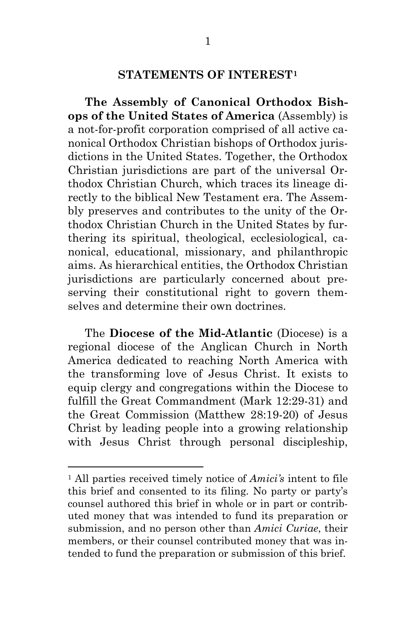### <span id="page-4-0"></span>**STATEMENTS OF INTEREST[1](#page-4-0)**

**The Assembly of Canonical Orthodox Bishops of the United States of America** (Assembly) is a not-for-profit corporation comprised of all active canonical Orthodox Christian bishops of Orthodox jurisdictions in the United States. Together, the Orthodox Christian jurisdictions are part of the universal Orthodox Christian Church, which traces its lineage directly to the biblical New Testament era. The Assembly preserves and contributes to the unity of the Orthodox Christian Church in the United States by furthering its spiritual, theological, ecclesiological, canonical, educational, missionary, and philanthropic aims. As hierarchical entities, the Orthodox Christian jurisdictions are particularly concerned about preserving their constitutional right to govern themselves and determine their own doctrines.

The **Diocese of the Mid-Atlantic** (Diocese) is a regional diocese of the Anglican Church in North America dedicated to reaching North America with the transforming love of Jesus Christ. It exists to equip clergy and congregations within the Diocese to fulfill the Great Commandment (Mark 12:29-31) and the Great Commission (Matthew 28:19-20) of Jesus Christ by leading people into a growing relationship with Jesus Christ through personal discipleship,

<sup>1</sup> All parties received timely notice of *Amici's* intent to file this brief and consented to its filing. No party or party's counsel authored this brief in whole or in part or contributed money that was intended to fund its preparation or submission, and no person other than *Amici Curiae*, their members, or their counsel contributed money that was intended to fund the preparation or submission of this brief.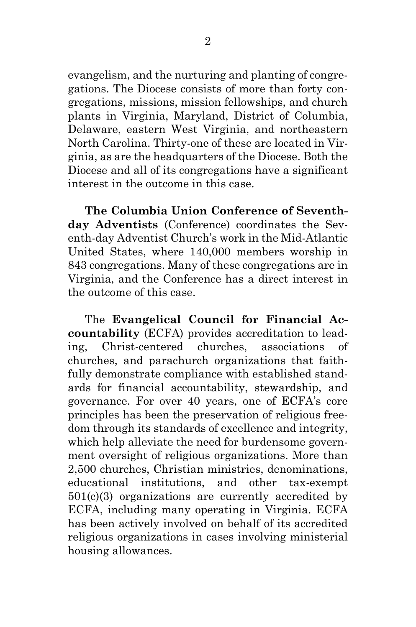evangelism, and the nurturing and planting of congregations. The Diocese consists of more than forty congregations, missions, mission fellowships, and church plants in Virginia, Maryland, District of Columbia, Delaware, eastern West Virginia, and northeastern North Carolina. Thirty-one of these are located in Virginia, as are the headquarters of the Diocese. Both the Diocese and all of its congregations have a significant interest in the outcome in this case.

**The Columbia Union Conference of Seventhday Adventists** (Conference) coordinates the Seventh-day Adventist Church's work in the Mid-Atlantic United States, where 140,000 members worship in 843 congregations. Many of these congregations are in Virginia, and the Conference has a direct interest in the outcome of this case.

The **Evangelical Council for Financial Accountability** (ECFA) provides accreditation to leading, Christ-centered churches, associations of churches, and parachurch organizations that faithfully demonstrate compliance with established standards for financial accountability, stewardship, and governance. For over 40 years, one of ECFA's core principles has been the preservation of religious freedom through its standards of excellence and integrity, which help alleviate the need for burdensome government oversight of religious organizations. More than 2,500 churches, Christian ministries, denominations, educational institutions, and other tax-exempt 501(c)(3) organizations are currently accredited by ECFA, including many operating in Virginia. ECFA has been actively involved on behalf of its accredited religious organizations in cases involving ministerial housing allowances.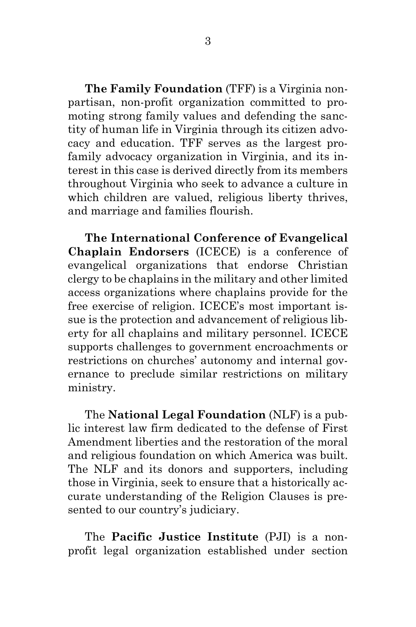**The Family Foundation** (TFF) is a Virginia nonpartisan, non-profit organization committed to promoting strong family values and defending the sanctity of human life in Virginia through its citizen advocacy and education. TFF serves as the largest profamily advocacy organization in Virginia, and its interest in this case is derived directly from its members throughout Virginia who seek to advance a culture in which children are valued, religious liberty thrives, and marriage and families flourish.

**The International Conference of Evangelical Chaplain Endorsers** (ICECE) is a conference of evangelical organizations that endorse Christian clergy to be chaplains in the military and other limited access organizations where chaplains provide for the free exercise of religion. ICECE's most important issue is the protection and advancement of religious liberty for all chaplains and military personnel. ICECE supports challenges to government encroachments or restrictions on churches' autonomy and internal governance to preclude similar restrictions on military ministry.

The **National Legal Foundation** (NLF) is a public interest law firm dedicated to the defense of First Amendment liberties and the restoration of the moral and religious foundation on which America was built. The NLF and its donors and supporters, including those in Virginia, seek to ensure that a historically accurate understanding of the Religion Clauses is presented to our country's judiciary.

The **Pacific Justice Institute** (PJI) is a nonprofit legal organization established under section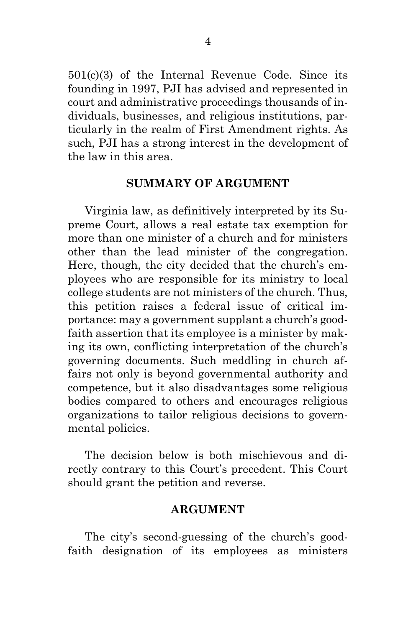501(c)(3) of the Internal Revenue Code. Since its founding in 1997, PJI has advised and represented in court and administrative proceedings thousands of individuals, businesses, and religious institutions, particularly in the realm of First Amendment rights. As such, PJI has a strong interest in the development of the law in this area.

#### **SUMMARY OF ARGUMENT**

Virginia law, as definitively interpreted by its Supreme Court, allows a real estate tax exemption for more than one minister of a church and for ministers other than the lead minister of the congregation. Here, though, the city decided that the church's employees who are responsible for its ministry to local college students are not ministers of the church. Thus, this petition raises a federal issue of critical importance: may a government supplant a church's goodfaith assertion that its employee is a minister by making its own, conflicting interpretation of the church's governing documents. Such meddling in church affairs not only is beyond governmental authority and competence, but it also disadvantages some religious bodies compared to others and encourages religious organizations to tailor religious decisions to governmental policies.

The decision below is both mischievous and directly contrary to this Court's precedent. This Court should grant the petition and reverse.

### **ARGUMENT**

The city's second-guessing of the church's goodfaith designation of its employees as ministers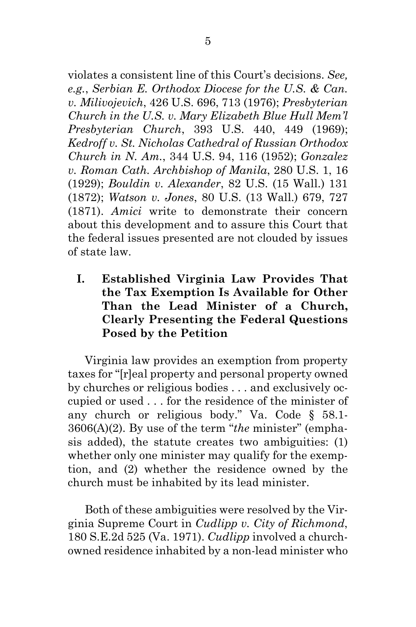violates a consistent line of this Court's decisions. *See, e.g.*, *Serbian E. Orthodox Diocese for the U.S. & Can. v. Milivojevich*, 426 U.S. 696, 713 (1976); *Presbyterian Church in the U.S. v. Mary Elizabeth Blue Hull Mem'l Presbyterian Church*, 393 U.S. 440, 449 (1969); *Kedroff v. St. Nicholas Cathedral of Russian Orthodox Church in N. Am.*, 344 U.S. 94, 116 (1952); *Gonzalez v. Roman Cath. Archbishop of Manila*, 280 U.S. 1, 16 (1929); *Bouldin v. Alexander*, 82 U.S. (15 Wall.) 131 (1872); *Watson v. Jones*, 80 U.S. (13 Wall.) 679, 727 (1871). *Amici* write to demonstrate their concern about this development and to assure this Court that the federal issues presented are not clouded by issues of state law.

**I. Established Virginia Law Provides That the Tax Exemption Is Available for Other Than the Lead Minister of a Church, Clearly Presenting the Federal Questions Posed by the Petition**

Virginia law provides an exemption from property taxes for "[r]eal property and personal property owned by churches or religious bodies . . . and exclusively occupied or used . . . for the residence of the minister of any church or religious body." Va. Code § 58.1- 3606(A)(2). By use of the term "*the* minister" (emphasis added), the statute creates two ambiguities: (1) whether only one minister may qualify for the exemption, and (2) whether the residence owned by the church must be inhabited by its lead minister.

Both of these ambiguities were resolved by the Virginia Supreme Court in *Cudlipp v. City of Richmond*, 180 S.E.2d 525 (Va. 1971). *Cudlipp* involved a churchowned residence inhabited by a non-lead minister who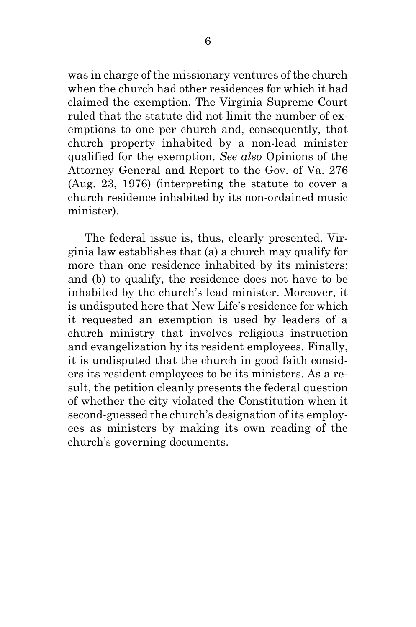was in charge of the missionary ventures of the church when the church had other residences for which it had claimed the exemption. The Virginia Supreme Court ruled that the statute did not limit the number of exemptions to one per church and, consequently, that church property inhabited by a non-lead minister qualified for the exemption. *See also* Opinions of the Attorney General and Report to the Gov. of Va. 276 (Aug. 23, 1976) (interpreting the statute to cover a church residence inhabited by its non-ordained music minister).

The federal issue is, thus, clearly presented. Virginia law establishes that (a) a church may qualify for more than one residence inhabited by its ministers; and (b) to qualify, the residence does not have to be inhabited by the church's lead minister. Moreover, it is undisputed here that New Life's residence for which it requested an exemption is used by leaders of a church ministry that involves religious instruction and evangelization by its resident employees. Finally, it is undisputed that the church in good faith considers its resident employees to be its ministers. As a result, the petition cleanly presents the federal question of whether the city violated the Constitution when it second-guessed the church's designation of its employees as ministers by making its own reading of the church's governing documents.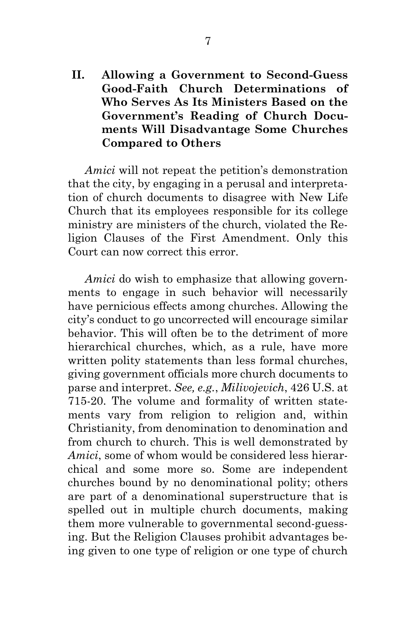**II. Allowing a Government to Second-Guess Good-Faith Church Determinations of Who Serves As Its Ministers Based on the Government's Reading of Church Documents Will Disadvantage Some Churches Compared to Others**

*Amici* will not repeat the petition's demonstration that the city, by engaging in a perusal and interpretation of church documents to disagree with New Life Church that its employees responsible for its college ministry are ministers of the church, violated the Religion Clauses of the First Amendment. Only this Court can now correct this error.

*Amici* do wish to emphasize that allowing governments to engage in such behavior will necessarily have pernicious effects among churches. Allowing the city's conduct to go uncorrected will encourage similar behavior. This will often be to the detriment of more hierarchical churches, which, as a rule, have more written polity statements than less formal churches, giving government officials more church documents to parse and interpret. *See, e.g.*, *Milivojevich*, 426 U.S. at 715-20. The volume and formality of written statements vary from religion to religion and, within Christianity, from denomination to denomination and from church to church. This is well demonstrated by *Amici*, some of whom would be considered less hierarchical and some more so. Some are independent churches bound by no denominational polity; others are part of a denominational superstructure that is spelled out in multiple church documents, making them more vulnerable to governmental second-guessing. But the Religion Clauses prohibit advantages being given to one type of religion or one type of church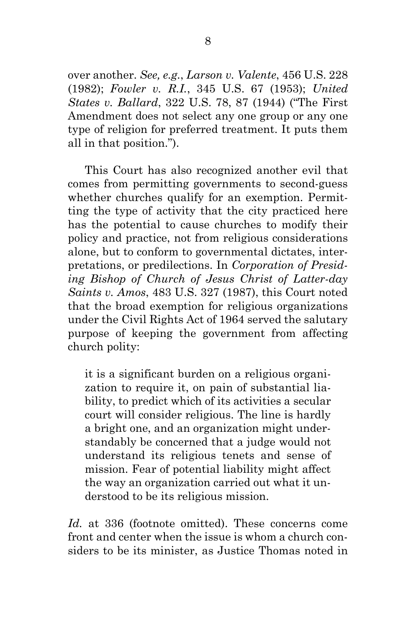over another. *See, e.g.*, *Larson v. Valente*, 456 U.S. 228 (1982); *Fowler v. R.I.*, 345 U.S. 67 (1953); *United States v. Ballard*, 322 U.S. 78, 87 (1944) ("The First Amendment does not select any one group or any one type of religion for preferred treatment. It puts them all in that position.").

This Court has also recognized another evil that comes from permitting governments to second-guess whether churches qualify for an exemption. Permitting the type of activity that the city practiced here has the potential to cause churches to modify their policy and practice, not from religious considerations alone, but to conform to governmental dictates, interpretations, or predilections. In *Corporation of Presiding Bishop of Church of Jesus Christ of Latter-day Saints v. Amos*, 483 U.S. 327 (1987), this Court noted that the broad exemption for religious organizations under the Civil Rights Act of 1964 served the salutary purpose of keeping the government from affecting church polity:

it is a significant burden on a religious organization to require it, on pain of substantial liability, to predict which of its activities a secular court will consider religious. The line is hardly a bright one, and an organization might understandably be concerned that a judge would not understand its religious tenets and sense of mission. Fear of potential liability might affect the way an organization carried out what it understood to be its religious mission.

*Id.* at 336 (footnote omitted). These concerns come front and center when the issue is whom a church considers to be its minister, as Justice Thomas noted in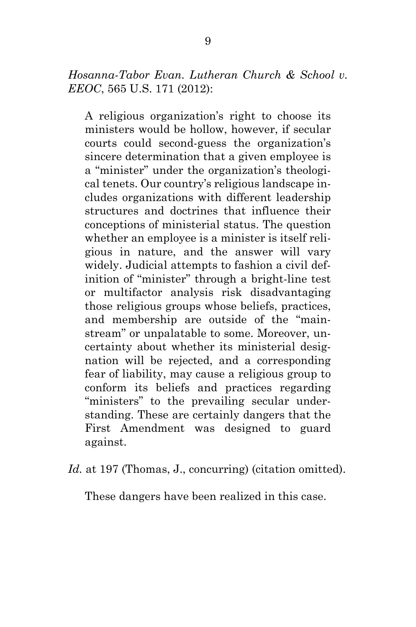*Hosanna-Tabor Evan. Lutheran Church & School v. EEOC*, 565 U.S. 171 (2012):

A religious organization's right to choose its ministers would be hollow, however, if secular courts could second-guess the organization's sincere determination that a given employee is a "minister" under the organization's theological tenets. Our country's religious landscape includes organizations with different leadership structures and doctrines that influence their conceptions of ministerial status. The question whether an employee is a minister is itself religious in nature, and the answer will vary widely. Judicial attempts to fashion a civil definition of "minister" through a bright-line test or multifactor analysis risk disadvantaging those religious groups whose beliefs, practices, and membership are outside of the "mainstream" or unpalatable to some. Moreover, uncertainty about whether its ministerial designation will be rejected, and a corresponding fear of liability, may cause a religious group to conform its beliefs and practices regarding "ministers" to the prevailing secular understanding. These are certainly dangers that the First Amendment was designed to guard against.

Id. at 197 (Thomas, J., concurring) (citation omitted).

These dangers have been realized in this case.